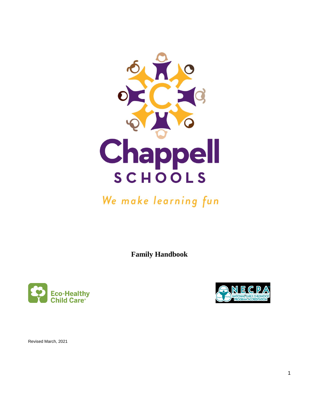

# We make learning fun

**Family Handbook**





Revised March, 2021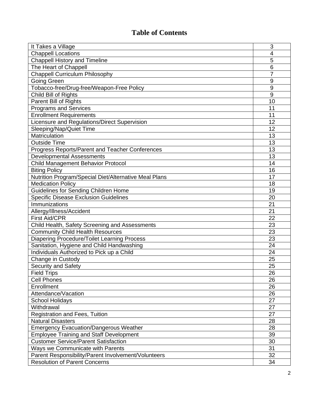# **Table of Contents**

| It Takes a Village                                    | 3  |  |
|-------------------------------------------------------|----|--|
| <b>Chappell Locations</b>                             |    |  |
| <b>Chappell History and Timeline</b>                  |    |  |
| The Heart of Chappell                                 |    |  |
| <b>Chappell Curriculum Philosophy</b>                 |    |  |
| <b>Going Green</b>                                    | 9  |  |
| Tobacco-free/Drug-free/Weapon-Free Policy             | 9  |  |
| Child Bill of Rights                                  | 9  |  |
| Parent Bill of Rights                                 | 10 |  |
| <b>Programs and Services</b>                          | 11 |  |
| <b>Enrollment Requirements</b>                        | 11 |  |
| Licensure and Regulations/Direct Supervision          | 12 |  |
| Sleeping/Nap/Quiet Time                               | 12 |  |
| Matriculation                                         | 13 |  |
| <b>Outside Time</b>                                   | 13 |  |
| Progress Reports/Parent and Teacher Conferences       | 13 |  |
| <b>Developmental Assessments</b>                      | 13 |  |
| Child Management Behavior Protocol                    | 14 |  |
| <b>Biting Policy</b>                                  | 16 |  |
| Nutrition Program/Special Diet/Alternative Meal Plans | 17 |  |
| <b>Medication Policy</b>                              | 18 |  |
| Guidelines for Sending Children Home                  | 19 |  |
| <b>Specific Disease Exclusion Guidelines</b>          | 20 |  |
| Immunizations                                         | 21 |  |
| Allergy/Illness/Accident                              | 21 |  |
| <b>First Aid/CPR</b>                                  | 22 |  |
| Child Health, Safety Screening and Assessments        | 23 |  |
| <b>Community Child Health Resources</b>               | 23 |  |
| <b>Diapering Procedure/Toilet Learning Process</b>    | 23 |  |
| Sanitation, Hygiene and Child Handwashing             | 24 |  |
| Individuals Authorized to Pick up a Child             | 24 |  |
| Change in Custody                                     | 25 |  |
| Security and Safety                                   | 25 |  |
| <b>Field Trips</b>                                    | 26 |  |
| <b>Cell Phones</b>                                    | 26 |  |
| Enrollment                                            | 26 |  |
| Attendance/Vacation                                   | 26 |  |
| <b>School Holidays</b>                                | 27 |  |
| Withdrawal                                            | 27 |  |
| Registration and Fees, Tuition                        | 27 |  |
| <b>Natural Disasters</b>                              | 28 |  |
| <b>Emergency Evacuation/Dangerous Weather</b>         | 28 |  |
| <b>Employee Training and Staff Development</b>        | 39 |  |
| <b>Customer Service/Parent Satisfaction</b>           | 30 |  |
| Ways we Communicate with Parents                      | 31 |  |
| Parent Responsibility/Parent Involvement/Volunteers   | 32 |  |
| <b>Resolution of Parent Concerns</b>                  | 34 |  |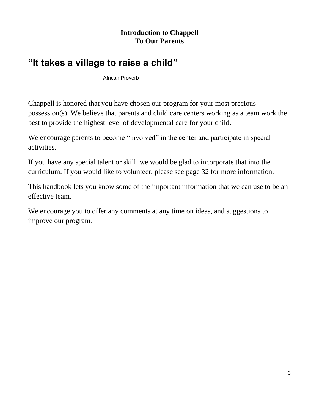# **Introduction to Chappell To Our Parents**

# **"It takes a village to raise a child"**

African Proverb

Chappell is honored that you have chosen our program for your most precious possession(s). We believe that parents and child care centers working as a team work the best to provide the highest level of developmental care for your child.

We encourage parents to become "involved" in the center and participate in special activities.

If you have any special talent or skill, we would be glad to incorporate that into the curriculum. If you would like to volunteer, please see page 32 for more information.

This handbook lets you know some of the important information that we can use to be an effective team.

We encourage you to offer any comments at any time on ideas, and suggestions to improve our program.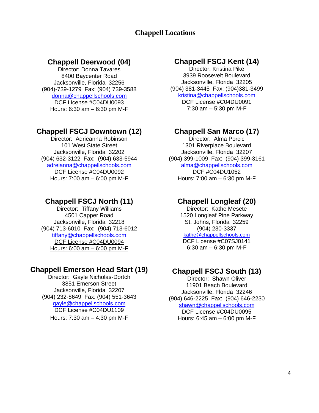# **Chappell Locations**

### **Chappell Deerwood (04)**

Director: Donna Tavares 8400 Baycenter Road Jacksonville, Florida 32256 (904)-739-1279 Fax: (904) 739-3588 [donna@chappellschools.com](mailto:donna@chappellschools.com) DCF License #C04DU0093 Hours: 6:30 am – 6:30 pm M-F

#### **Chappell FSCJ Downtown (12)**

Director: Adrieanna Robinson 101 West State Street Jacksonville, Florida 32202 (904) 632-3122 Fax: (904) 633-5944 [adreianna@chappellschools.com](mailto:adreianna@chappellschools.com) DCF License #C04DU0092 Hours: 7:00 am – 6:00 pm M-F

### **Chappell FSCJ North (11)**

Director: Tiffany Williams 4501 Capper Road Jacksonville, Florida 32218 (904) 713-6010 Fax: (904) 713-6012 tiffany@chappellschools.com DCF License #C04DU0094 Hours: 6:00 am – 6:00 pm M-F

#### **Chappell Emerson Head Start (19)**

Director: Gayle Nicholas-Dortch 3851 Emerson Street Jacksonville, Florida 32207 (904) 232-8649 Fax: (904) 551-3643 [gayle@chappellschools.com](mailto:gayle@chappellschools.com) DCF License #C04DU1109 Hours: 7:30 am – 4:30 pm M-F

# **Chappell FSCJ Kent (14)**

Director: Kristina Pike 3939 Roosevelt Boulevard Jacksonville, Florida 32205 (904) 381-3445 Fax: (904)381-3499 [kristina@chappellschools.com](mailto:kristina@chappellschools.com) DCF License #C04DU0091 7:30 am – 5:30 pm M-F

### **Chappell San Marco (17)**

Director: Alma Porcic 1301 Riverplace Boulevard Jacksonville, Florida 32207 (904) 399-1009 Fax: (904) 399-3161 alma@chappellschools.com DCF #C04DU1052 Hours: 7:00 am – 6:30 pm M-F

### **Chappell Longleaf (20)**

Director: Kathe Mesete 1520 Longleaf Pine Parkway St. Johns, Florida 32259 (904) 230-3337 [kathe@chappellschools.com](mailto:kathe@chappellschools.com) DCF License #C07SJ0141 6:30 am – 6:30 pm M-F

### **Chappell FSCJ South (13)**

Director: Shawn Oliver 11901 Beach Boulevard Jacksonville, Florida 32246 (904) 646-2225 Fax: (904) 646-2230 [shawn@chappellschools.com](mailto:shawn@chappellschools.com) DCF License #C04DU0095 Hours: 6:45 am – 6:00 pm M-F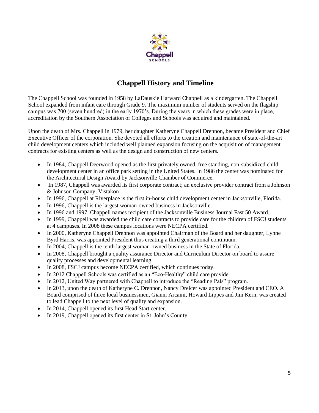

# **Chappell History and Timeline**

The Chappell School was founded in 1958 by LaDauskie Harward Chappell as a kindergarten. The Chappell School expanded from infant care through Grade 9. The maximum number of students served on the flagship campus was 700 (seven hundred) in the early 1970's. During the years in which these grades were in place, accreditation by the Southern Association of Colleges and Schools was acquired and maintained.

Upon the death of Mrs. Chappell in 1979, her daughter Katheryne Chappell Drennon, became President and Chief Executive Officer of the corporation. She devoted all efforts to the creation and maintenance of state-of-the-art child development centers which included well planned expansion focusing on the acquisition of management contracts for existing centers as well as the design and construction of new centers.

- In 1984, Chappell Deerwood opened as the first privately owned, free standing, non-subsidized child development center in an office park setting in the United States. In 1986 the center was nominated for the Architectural Design Award by Jacksonville Chamber of Commerce.
- In 1987, Chappell was awarded its first corporate contract; an exclusive provider contract from a Johnson & Johnson Company, Vistakon
- In 1996, Chappell at Riverplace is the first in-house child development center in Jacksonville, Florida.
- In 1996, Chappell is the largest woman-owned business in Jacksonville.
- In 1996 and 1997, Chappell names recipient of the Jacksonville Business Journal Fast 50 Award.
- In 1999, Chappell was awarded the child care contracts to provide care for the children of FSCJ students at 4 campuses. In 2008 these campus locations were NECPA certified.
- In 2000, Katheryne Chappell Drennon was appointed Chairman of the Board and her daughter, Lynne Byrd Harris, was appointed President thus creating a third generational continuum.
- In 2004, Chappell is the tenth largest woman-owned business in the State of Florida.
- In 2008, Chappell brought a quality assurance Director and Curriculum Director on board to assure quality processes and developmental learning.
- In 2008, FSCJ campus become NECPA certified, which continues today.
- In 2012 Chappell Schools was certified as an "Eco-Healthy" child care provider.
- In 2012, United Way partnered with Chappell to introduce the "Reading Pals" program.
- In 2013, upon the death of Katheryne C. Drennon, Nancy Dreicer was appointed President and CEO. A Board comprised of three local businessmen, Gianni Arcaini, Howard Lippes and Jim Kern, was created to lead Chappell to the next level of quality and expansion.
- In 2014, Chappell opened its first Head Start center.
- In 2019, Chappell opened its first center in St. John's County.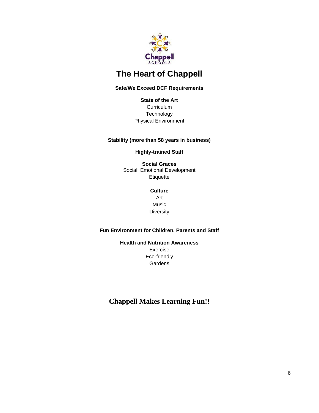

# **The Heart of Chappell**

#### **Safe/We Exceed DCF Requirements**

**State of the Art Curriculum Technology** Physical Environment

#### **Stability (more than 58 years in business)**

**Highly-trained Staff**

**Social Graces** Social, Emotional Development **Etiquette** 

#### **Culture** Art

Music **Diversity** 

#### **Fun Environment for Children, Parents and Staff**

**Health and Nutrition Awareness** Exercise Eco-friendly **Gardens** 

### **Chappell Makes Learning Fun!!**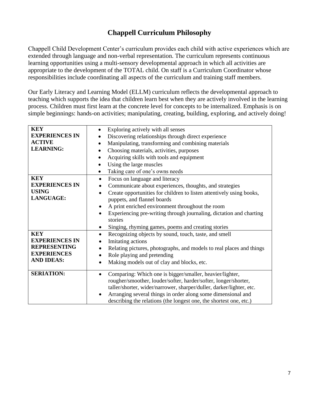# **Chappell Curriculum Philosophy**

Chappell Child Development Center's curriculum provides each child with active experiences which are extended through language and non-verbal representation. The curriculum represents continuous learning opportunities using a multi-sensory developmental approach in which all activities are appropriate to the development of the TOTAL child. On staff is a Curriculum Coordinator whose responsibilities include coordinating all aspects of the curriculum and training staff members.

Our Early Literacy and Learning Model (ELLM) curriculum reflects the developmental approach to teaching which supports the idea that children learn best when they are actively involved in the learning process. Children must first learn at the concrete level for concepts to be internalized. Emphasis is on simple beginnings: hands-on activities; manipulating, creating, building, exploring, and actively doing!

| <b>KEY</b>            | Exploring actively with all senses                                                |
|-----------------------|-----------------------------------------------------------------------------------|
| <b>EXPERIENCES IN</b> | Discovering relationships through direct experience                               |
| <b>ACTIVE</b>         | Manipulating, transforming and combining materials                                |
| <b>LEARNING:</b>      | Choosing materials, activities, purposes                                          |
|                       | Acquiring skills with tools and equipment                                         |
|                       | Using the large muscles                                                           |
|                       | Taking care of one's owns needs<br>$\bullet$                                      |
| <b>KEY</b>            | Focus on language and literacy<br>$\bullet$                                       |
| <b>EXPERIENCES IN</b> | Communicate about experiences, thoughts, and strategies<br>$\bullet$              |
| <b>USING</b>          | Create opportunities for children to listen attentively using books,<br>$\bullet$ |
| LANGUAGE:             | puppets, and flannel boards                                                       |
|                       | A print enriched environment throughout the room<br>٠                             |
|                       | Experiencing pre-writing through journaling, dictation and charting               |
|                       | stories                                                                           |
|                       | Singing, rhyming games, poems and creating stories                                |
| <b>KEY</b>            | Recognizing objects by sound, touch, taste, and smell<br>$\bullet$                |
| <b>EXPERIENCES IN</b> | Imitating actions<br>$\bullet$                                                    |
| <b>REPRESENTING</b>   | Relating pictures, photographs, and models to real places and things<br>$\bullet$ |
| <b>EXPERIENCES</b>    | Role playing and pretending<br>$\bullet$                                          |
| <b>AND IDEAS:</b>     | Making models out of clay and blocks, etc.<br>$\bullet$                           |
| <b>SERIATION:</b>     | Comparing: Which one is bigger/smaller, heavier/lighter,<br>$\bullet$             |
|                       | rougher/smoother, louder/softer, harder/softer, longer/shorter,                   |
|                       | taller/shorter, wider/narrower, sharper/duller, darker/lighter, etc.              |
|                       | Arranging several things in order along some dimensional and                      |
|                       | describing the relations (the longest one, the shortest one, etc.)                |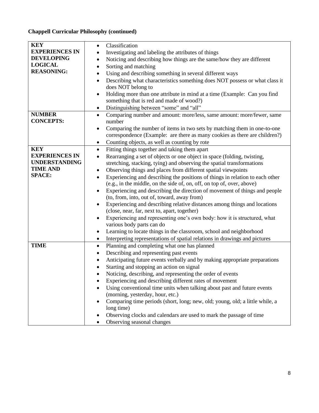#### **Chappell Curricular Philosophy (continued)**

| <b>KEY</b>            | Classification<br>$\bullet$                                                                |  |
|-----------------------|--------------------------------------------------------------------------------------------|--|
| <b>EXPERIENCES IN</b> | Investigating and labeling the attributes of things<br>$\bullet$                           |  |
| <b>DEVELOPING</b>     | Noticing and describing how things are the same/how they are different<br>$\bullet$        |  |
| <b>LOGICAL</b>        | Sorting and matching<br>$\bullet$                                                          |  |
| <b>REASONING:</b>     | Using and describing something in several different ways<br>$\bullet$                      |  |
|                       | $\bullet$                                                                                  |  |
|                       | Describing what characteristics something does NOT possess or what class it                |  |
|                       | does NOT belong to                                                                         |  |
|                       | Holding more than one attribute in mind at a time (Example: Can you find<br>$\bullet$      |  |
|                       | something that is red and made of wood?)                                                   |  |
|                       | Distinguishing between "some" and "all"<br>$\bullet$                                       |  |
| <b>NUMBER</b>         | Comparing number and amount: more/less, same amount: more/fewer, same<br>$\bullet$         |  |
| <b>CONCEPTS:</b>      | number                                                                                     |  |
|                       | Comparing the number of items in two sets by matching them in one-to-one<br>٠              |  |
|                       | correspondence (Example: are there as many cookies as there are children?)                 |  |
|                       | Counting objects, as well as counting by rote<br>$\bullet$                                 |  |
| <b>KEY</b>            | Fitting things together and taking them apart<br>$\bullet$                                 |  |
| <b>EXPERIENCES IN</b> | Rearranging a set of objects or one object in space (folding, twisting,<br>$\bullet$       |  |
| <b>UNDERSTANDING</b>  | stretching, stacking, tying) and observing the spatial transformations                     |  |
| <b>TIME AND</b>       | Observing things and places from different spatial viewpoints<br>$\bullet$                 |  |
| <b>SPACE:</b>         | Experiencing and describing the positions of things in relation to each other<br>$\bullet$ |  |
|                       | (e.g., in the middle, on the side of, on, off, on top of, over, above)                     |  |
|                       | Experiencing and describing the direction of movement of things and people                 |  |
|                       | (to, from, into, out of, toward, away from)                                                |  |
|                       | Experiencing and describing relative distances among things and locations<br>$\bullet$     |  |
|                       | (close, near, far, next to, apart, together)                                               |  |
|                       | Experiencing and representing one's own body: how it is structured, what                   |  |
|                       | various body parts can do                                                                  |  |
|                       | Learning to locate things in the classroom, school and neighborhood<br>$\bullet$           |  |
|                       | Interpreting representations of spatial relations in drawings and pictures<br>$\bullet$    |  |
| <b>TIME</b>           | Planning and completing what one has planned<br>$\bullet$                                  |  |
|                       | Describing and representing past events                                                    |  |
|                       | ٠                                                                                          |  |
|                       | Anticipating future events verbally and by making appropriate preparations<br>$\bullet$    |  |
|                       | Starting and stopping an action on signal                                                  |  |
|                       | Noticing, describing, and representing the order of events                                 |  |
|                       | Experiencing and describing different rates of movement                                    |  |
|                       | Using conventional time units when talking about past and future events                    |  |
|                       | (morning, yesterday, hour, etc.)                                                           |  |
|                       | Comparing time periods (short, long; new, old; young, old; a little while, a               |  |
|                       | long time)                                                                                 |  |
|                       | Observing clocks and calendars are used to mark the passage of time                        |  |
|                       | Observing seasonal changes                                                                 |  |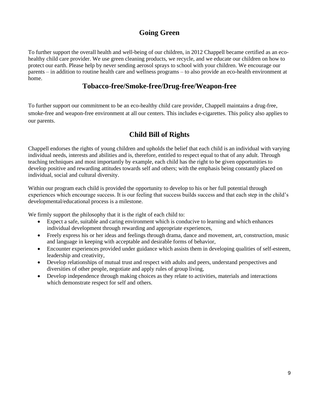# **Going Green**

To further support the overall health and well-being of our children, in 2012 Chappell became certified as an ecohealthy child care provider. We use green cleaning products, we recycle, and we educate our children on how to protect our earth. Please help by never sending aerosol sprays to school with your children. We encourage our parents – in addition to routine health care and wellness programs – to also provide an eco-health environment at home.

### **Tobacco-free/Smoke-free/Drug-free/Weapon-free**

To further support our commitment to be an eco-healthy child care provider, Chappell maintains a drug-free, smoke-free and weapon-free environment at all our centers. This includes e-cigarettes. This policy also applies to our parents.

# **Child Bill of Rights**

Chappell endorses the rights of young children and upholds the belief that each child is an individual with varying individual needs, interests and abilities and is, therefore, entitled to respect equal to that of any adult. Through teaching techniques and most importantly by example, each child has the right to be given opportunities to develop positive and rewarding attitudes towards self and others; with the emphasis being constantly placed on individual, social and cultural diversity.

Within our program each child is provided the opportunity to develop to his or her full potential through experiences which encourage success. It is our feeling that success builds success and that each step in the child's developmental/educational process is a milestone.

We firmly support the philosophy that it is the right of each child to:

- Expect a safe, suitable and caring environment which is conducive to learning and which enhances individual development through rewarding and appropriate experiences,
- Freely express his or her ideas and feelings through drama, dance and movement, art, construction, music and language in keeping with acceptable and desirable forms of behavior,
- Encounter experiences provided under guidance which assists them in developing qualities of self-esteem, leadership and creativity,
- Develop relationships of mutual trust and respect with adults and peers, understand perspectives and diversities of other people, negotiate and apply rules of group living,
- Develop independence through making choices as they relate to activities, materials and interactions which demonstrate respect for self and others.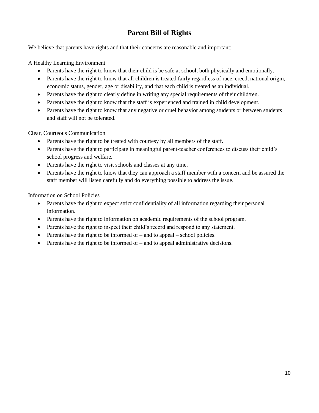# **Parent Bill of Rights**

We believe that parents have rights and that their concerns are reasonable and important:

A Healthy Learning Environment

- Parents have the right to know that their child is be safe at school, both physically and emotionally.
- Parents have the right to know that all children is treated fairly regardless of race, creed, national origin, economic status, gender, age or disability, and that each child is treated as an individual.
- Parents have the right to clearly define in writing any special requirements of their child/ren.
- Parents have the right to know that the staff is experienced and trained in child development.
- Parents have the right to know that any negative or cruel behavior among students or between students and staff will not be tolerated.

Clear, Courteous Communication

- Parents have the right to be treated with courtesy by all members of the staff.
- Parents have the right to participate in meaningful parent-teacher conferences to discuss their child's school progress and welfare.
- Parents have the right to visit schools and classes at any time.
- Parents have the right to know that they can approach a staff member with a concern and be assured the staff member will listen carefully and do everything possible to address the issue.

Information on School Policies

- Parents have the right to expect strict confidentiality of all information regarding their personal information.
- Parents have the right to information on academic requirements of the school program.
- Parents have the right to inspect their child's record and respond to any statement.
- Parents have the right to be informed of  $-$  and to appeal  $-$  school policies.
- Parents have the right to be informed of  $-$  and to appeal administrative decisions.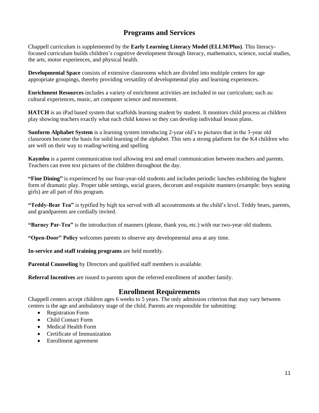# **Programs and Services**

Chappell curriculum is supplemented by the **Early Learning Literacy Model (ELLM/Plus)**. This literacyfocused curriculum builds children's cognitive development through literacy, mathematics, science, social studies, the arts, motor experiences, and physical health.

**Developmental Space** consists of extensive classrooms which are divided into multiple centers for age appropriate groupings, thereby providing versatility of developmental play and learning experiences.

**Enrichment Resources** includes a variety of enrichment activities are included in our curriculum; such as: cultural experiences, music, art computer science and movement.

**HATCH** is an iPad based system that scaffolds learning student by student. It monitors child process as children play showing teachers exactly what each child knows so they can develop individual lesson plans.

**Sunform Alphabet System** is a learning system introducing 2-year old's to pictures that in the 3-year old classroom become the basis for solid learning of the alphabet. This sets a strong platform for the K4 children who are well on their way to reading/writing and spelling

**Kaymbu** is a parent communication tool allowing text and email communication between teachers and parents. Teachers can even text pictures of the children throughout the day.

**"Fine Dining"** is experienced by our four-year-old students and includes periodic lunches exhibiting the highest form of dramatic play. Proper table settings, social graces, decorum and exquisite manners (example: boys seating girls) are all part of this program.

**"Teddy-Bear Tea"** is typified by high tea served with all accoutrements at the child's level. Teddy bears, parents, and grandparents are cordially invited.

**"Barney Par-Tea"** is the introduction of manners (please, thank you, etc.) with our two-year old students.

**"Open-Door" Policy** welcomes parents to observe any developmental area at any time.

**In-service and staff training programs** are held monthly.

**Parental Counseling** by Directors and qualified staff members is available.

**Referral Incentives** are issued to parents upon the referred enrollment of another family.

#### **Enrollment Requirements**

Chappell centers accept children ages 6 weeks to 5 years. The only admission criterion that may vary between centers is the age and ambulatory stage of the child. Parents are responsible for submitting:

- Registration Form
- Child Contact Form
- Medical Health Form
- Certificate of Immunization
- Enrollment agreement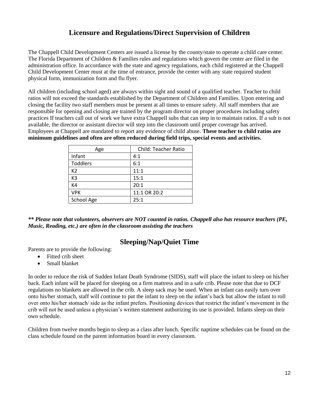# **Licensure and Regulations/Direct Supervision of Children**

The Chappell Child Development Centers are issued a license by the county/state to operate a child care center. The Florida Department of Children & Families rules and regulations which govern the center are filed in the administration office. In accordance with the state and agency regulations, each child registered at the Chappell Child Development Center must at the time of entrance, provide the center with any state required student physical form, immunization form and flu flyer.

All children (including school aged) are always within sight and sound of a qualified teacher. Teacher to child ratios will not exceed the standards established by the Department of Children and Families. Upon entering and closing the facility two staff members must be present at all times to ensure safety. All staff members that are responsible for opening and closing are trained by the program director on proper procedures including safety practices If teachers call out of work we have extra Chappell subs that can step in to maintain ratios. If a sub is not available, the director or assistant director will step into the classroom until proper coverage has arrived. Employees at Chappell are mandated to report any evidence of child abuse. **These teacher to child ratios are minimum guidelines and often are often reduced during field trips, special events and activities.**

| Age             | <b>Child: Teacher Ratio</b> |
|-----------------|-----------------------------|
| Infant          | 4:1                         |
| <b>Toddlers</b> | 6:1                         |
| K2              | 11:1                        |
| K <sub>3</sub>  | 15:1                        |
| K4              | 20:1                        |
| <b>VPK</b>      | 11:1 OR 20:2                |
| School Age      | 25:1                        |

*\*\* Please note that volunteers, observers are NOT counted in ratios. Chappell also has resource teachers (PE, Music, Reading, etc.) are often in the classroom assisting the teachers*

### **Sleeping/Nap/Quiet Time**

Parents are to provide the following:

- Fitted crib sheet
- Small blanket

In order to reduce the risk of Sudden Infant Death Syndrome (SIDS), staff will place the infant to sleep on his/her back. Each infant will be placed for sleeping on a firm mattress and in a safe crib. Please note that due to DCF regulations no blankets are allowed in the crib. A sleep sack may be used. When an infant can easily turn over onto his/her stomach, staff will continue to put the infant to sleep on the infant's back but allow the infant to roll over onto his/her stomach/ side as the infant prefers. Positioning devices that restrict the infant's movement in the crib will not be used unless a physician's written statement authorizing its use is provided. Infants sleep on their own schedule.

Children from twelve months begin to sleep as a class after lunch. Specific naptime schedules can be found on the class schedule found on the parent information board in every classroom.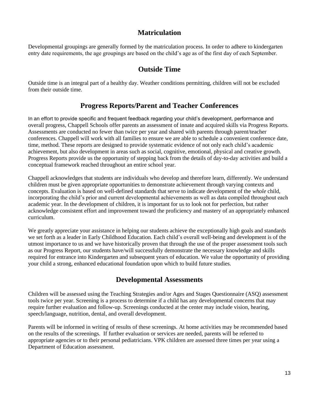### **Matriculation**

Developmental groupings are generally formed by the matriculation process. In order to adhere to kindergarten entry date requirements, the age groupings are based on the child's age as of the first day of each September.

### **Outside Time**

Outside time is an integral part of a healthy day. Weather conditions permitting, children will not be excluded from their outside time.

### **Progress Reports/Parent and Teacher Conferences**

In an effort to provide specific and frequent feedback regarding your child's development, performance and overall progress, Chappell Schools offer parents an assessment of innate and acquired skills via Progress Reports. Assessments are conducted no fewer than twice per year and shared with parents through parent/teacher conferences. Chappell will work with all families to ensure we are able to schedule a convenient conference date, time, method. These reports are designed to provide systematic evidence of not only each child's academic achievement, but also development in areas such as social, cognitive, emotional, physical and creative growth. Progress Reports provide us the opportunity of stepping back from the details of day-to-day activities and build a conceptual framework reached throughout an entire school year.

Chappell acknowledges that students are individuals who develop and therefore learn, differently. We understand children must be given appropriate opportunities to demonstrate achievement through varying contexts and concepts. Evaluation is based on well-defined standards that serve to indicate development of the *whole* child, incorporating the child's prior and current developmental achievements as well as data compiled throughout each academic year. In the development of children, it is important for us to look not for perfection, but rather acknowledge consistent effort and improvement toward the proficiency and mastery of an appropriately enhanced curriculum.

We greatly appreciate your assistance in helping our students achieve the exceptionally high goals and standards we set forth as a leader in Early Childhood Education. Each child's overall well-being and development is of the utmost importance to us and we have historically proven that through the use of the proper assessment tools such as our Progress Report, our students have/will successfully demonstrate the necessary knowledge and skills required for entrance into Kindergarten and subsequent years of education. We value the opportunity of providing your child a strong, enhanced educational foundation upon which to build future studies.

### **Developmental Assessments**

Children will be assessed using the Teaching Strategies and/or Ages and Stages Questionnaire (ASQ) assessment tools twice per year. Screening is a process to determine if a child has any developmental concerns that may require further evaluation and follow-up. Screenings conducted at the center may include vision, hearing, speech/language, nutrition, dental, and overall development.

Parents will be informed in writing of results of these screenings. At home activities may be recommended based on the results of the screenings. If further evaluation or services are needed, parents will be referred to appropriate agencies or to their personal pediatricians. VPK children are assessed three times per year using a Department of Education assessment.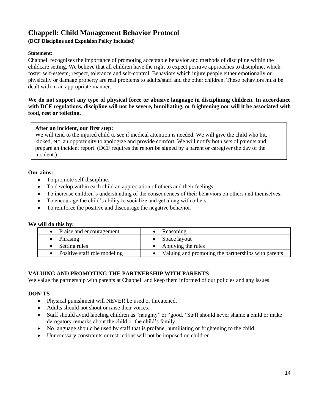# **Chappell: Child Management Behavior Protocol**

#### **(DCF Discipline and Expulsion Policy Included)**

#### **Statement:**

Chappell recognizes the importance of promoting acceptable behavior and methods of discipline within the childcare setting. We believe that all children have the right to expect positive approaches to discipline, which foster self-esteem, respect, tolerance and self-control. Behaviors which injure people either emotionally or physically or damage property are real problems to adults/staff and the other children. These behaviors must be dealt with in an appropriate manner.

#### **We do not support any type of physical force or abusive language in disciplining children. In accordance with DCF regulations, discipline will not be severe, humiliating, or frightening nor will it be associated with food, rest or toileting.**

#### **After an incident, our first step:**

We will tend to the injured child to see if medical attention is needed. We will give the child who hit, kicked, etc. an opportunity to apologize and provide comfort. We will notify both sets of parents and prepare an incident report. (DCF requires the report be signed by a parent or caregiver the day of the incident.)

#### **Our aims:**

- To promote self-discipline.
- To develop within each child an appreciation of others and their feelings.
- To increase children's understanding of the consequences of their behaviors on others and themselves.
- To encourage the child's ability to socialize and get along with others.
- To reinforce the positive and discourage the negative behavior.

#### **We will do this by:**

| Reasoning                                           |
|-----------------------------------------------------|
| Space layout                                        |
| Applying the rules                                  |
| Valuing and promoting the partnerships with parents |
|                                                     |

#### **VALUING AND PROMOTING THE PARTNERSHIP WITH PARENTS**

We value the partnership with parents at Chappell and keep them informed of our policies and any issues.

#### **DON'TS**

- Physical punishment will NEVER be used or threatened.
- Adults should not shout or raise their voices.
- Staff should avoid labeling children as "naughty" or "good." Staff should never shame a child or make derogatory remarks about the child or the child's family.
- No language should be used by staff that is profane, humiliating or frightening to the child.
- Unnecessary constraints or restrictions will not be imposed on children.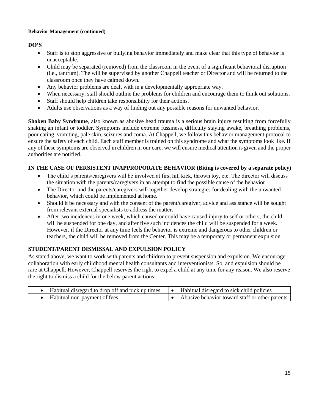#### **Behavior Management (continued)**

#### **DO'S**

- Staff is to stop aggressive or bullying behavior immediately and make clear that this type of behavior is unacceptable.
- Child may be separated (removed) from the classroom in the event of a significant behavioral disruption (i.e., tantrum). The will be supervised by another Chappell teacher or Director and will be returned to the classroom once they have calmed down.
- Any behavior problems are dealt with in a developmentally appropriate way.
- When necessary, staff should outline the problems for children and encourage them to think out solutions.
- Staff should help children take responsibility for their actions.
- Adults use observations as a way of finding out any possible reasons for unwanted behavior.

**Shaken Baby Syndrome**, also known as abusive head trauma is a serious brain injury resulting from forcefully shaking an infant or toddler. Symptoms include extreme fussiness, difficulty staying awake, breathing problems, poor eating, vomiting, pale skin, seizures and coma. At Chappell, we follow this behavior management protocol to ensure the safety of each child. Each staff member is trained on this syndrome and what the symptoms look like. If any of these symptoms are observed in children in our care, we will ensure medical attention is given and the proper authorities are notified.

#### **IN THE CASE OF PERSISTENT INAPPROPORATE BEHAVIOR (Biting is covered by a separate policy)**

- The child's parents/caregivers will be involved at first hit, kick, thrown toy, etc. The director will discuss the situation with the parents/caregivers in an attempt to find the possible cause of the behavior.
- The Director and the parents/caregivers will together develop strategies for dealing with the unwanted behavior, which could be implemented at home.
- Should it be necessary and with the consent of the parent/caregiver, advice and assistance will be sought from relevant external specialists to address the matter.
- After two incidences in one week, which caused or could have caused injury to self or others, the child will be suspended for one day, and after five such incidences the child will be suspended for a week. However, if the Director at any time feels the behavior is extreme and dangerous to other children or teachers, the child will be removed from the Center. This may be a temporary or permanent expulsion.

#### **STUDENT/PARENT DISMISSAL AND EXPULSION POLICY**

As stated above, we want to work with parents and children to prevent suspension and expulsion. We encourage collaboration with early childhood mental health consultants and interventionists. So, and expulsion should be rare at Chappell. However, Chappell reserves the right to expel a child at any time for any reason. We also reserve the right to dismiss a child for the below parent actions:

| Habitual disregard to drop off and pick up times | Habitual disregard to sick child policies      |
|--------------------------------------------------|------------------------------------------------|
| Habitual non-payment of fees                     | Abusive behavior toward staff or other parents |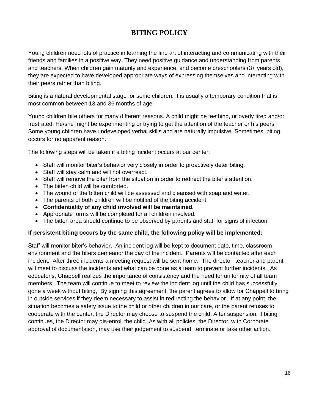# **BITING POLICY**

Young children need lots of practice in learning the fine art of interacting and communicating with their friends and families in a positive way. They need positive guidance and understanding from parents and teachers. When children gain maturity and experience, and become preschoolers (3+ years old), they are expected to have developed appropriate ways of expressing themselves and interacting with their peers rather than biting.

Biting is a natural developmental stage for some children. It is usually a temporary condition that is most common between 13 and 36 months of age.

Young children bite others for many different reasons. A child might be teething, or overly tired and/or frustrated. He/she might be experimenting or trying to get the attention of the teacher or his peers. Some young children have undeveloped verbal skills and are naturally impulsive. Sometimes, biting occurs for no apparent reason.

The following steps will be taken if a biting incident occurs at our center:

- Staff will monitor biter's behavior very closely in order to proactively deter biting.
- Staff will stay calm and will not overreact.
- Staff will remove the biter from the situation in order to redirect the biter's attention.
- The bitten child will be comforted.
- The wound of the bitten child will be assessed and cleansed with soap and water.
- The parents of both children will be notified of the biting accident.
- **Confidentiality of any child involved will be maintained.**
- Appropriate forms will be completed for all children involved.
- The bitten area should continue to be observed by parents and staff for signs of infection.

#### **If persistent biting occurs by the same child, the following policy will be implemented:**

Staff will monitor biter's behavior. An incident log will be kept to document date, time, classroom environment and the biters demeanor the day of the incident. Parents will be contacted after each incident. After three incidents a meeting request will be sent home. The director, teacher and parent will meet to discuss the incidents and what can be done as a team to prevent further incidents. As educator's, Chappell realizes the importance of consistency and the need for uniformity of all team members. The team will continue to meet to review the incident log until the child has successfully gone a week without biting, By signing this agreement, the parent agrees to allow for Chappell to bring in outside services if they deem necessary to assist in redirecting the behavior. If at any point, the situation becomes a safety issue to the child or other children in our care, or the parent refuses to cooperate with the center, the Director may choose to suspend the child. After suspension, if biting continues, the Director may dis-enroll the child. As with all policies, the Director, with Corporate approval of documentation, may use their judgement to suspend, terminate or take other action.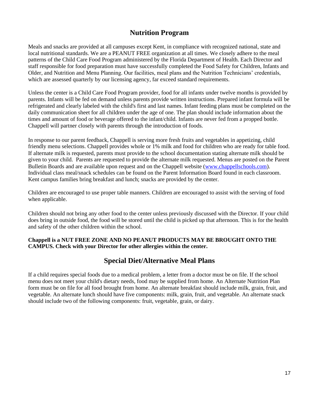## **Nutrition Program**

Meals and snacks are provided at all campuses except Kent, in compliance with recognized national, state and local nutritional standards. We are a PEANUT FREE organization at all times. We closely adhere to the meal patterns of the Child Care Food Program administered by the Florida Department of Health. Each Director and staff responsible for food preparation must have successfully completed the Food Safety for Children, Infants and Older, and Nutrition and Menu Planning. Our facilities, meal plans and the Nutrition Technicians' credentials, which are assessed quarterly by our licensing agency, far exceed standard requirements.

Unless the center is a Child Care Food Program provider, food for all infants under twelve months is provided by parents. Infants will be fed on demand unless parents provide written instructions. Prepared infant formula will be refrigerated and clearly labeled with the child's first and last names. Infant feeding plans must be completed on the daily communication sheet for all children under the age of one. The plan should include information about the times and amount of food or beverage offered to the infant/child. Infants are never fed from a propped bottle. Chappell will partner closely with parents through the introduction of foods.

In response to our parent feedback, Chappell is serving more fresh fruits and vegetables in appetizing, child friendly menu selections. Chappell provides whole or 1% milk and food for children who are ready for table food. If alternate milk is requested, parents must provide to the school documentation stating alternate milk should be given to your child. Parents are requested to provide the alternate milk requested. Menus are posted on the Parent Bulletin Boards and are available upon request and on the Chappell website [\(www.chappellschools.com\)](http://www.chappellschools.com/). Individual class meal/snack schedules can be found on the Parent Information Board found in each classroom. Kent campus families bring breakfast and lunch; snacks are provided by the center.

Children are encouraged to use proper table manners. Children are encouraged to assist with the serving of food when applicable.

Children should not bring any other food to the center unless previously discussed with the Director. If your child does bring in outside food, the food will be stored until the child is picked up that afternoon. This is for the health and safety of the other children within the school.

#### **Chappell is a NUT FREE ZONE AND NO PEANUT PRODUCTS MAY BE BROUGHT ONTO THE CAMPUS. Check with your Director for other allergies within the center.**

### **Special Diet/Alternative Meal Plans**

If a child requires special foods due to a medical problem, a letter from a doctor must be on file. If the school menu does not meet your child's dietary needs, food may be supplied from home. An Alternate Nutrition Plan form must be on file for all food brought from home. An alternate breakfast should include milk, grain, fruit, and vegetable. An alternate lunch should have five components: milk, grain, fruit, and vegetable. An alternate snack should include two of the following components: fruit, vegetable, grain, or dairy.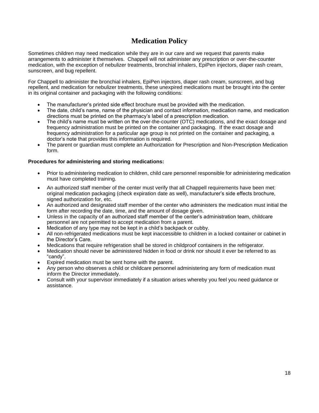# **Medication Policy**

Sometimes children may need medication while they are in our care and we request that parents make arrangements to administer it themselves. Chappell will not administer any prescription or over-the-counter medication, with the exception of nebulizer treatments, bronchial inhalers, EpiPen injectors, diaper rash cream, sunscreen, and bug repellent.

For Chappell to administer the bronchial inhalers, EpiPen injectors, diaper rash cream, sunscreen, and bug repellent, and medication for nebulizer treatments, these unexpired medications must be brought into the center in its original container and packaging with the following conditions:

- The manufacturer's printed side effect brochure must be provided with the medication.
- The date, child's name, name of the physician and contact information, medication name, and medication directions must be printed on the pharmacy's label of a prescription medication.
- The child's name must be written on the over-the-counter (OTC) medications, and the exact dosage and frequency administration must be printed on the container and packaging. If the exact dosage and frequency administration for a particular age group is not printed on the container and packaging, a doctor's note that provides this information is required.
- The parent or guardian must complete an Authorization for Prescription and Non-Prescription Medication form.

#### **Procedures for administering and storing medications:**

- Prior to administering medication to children, child care personnel responsible for administering medication must have completed training.
- An authorized staff member of the center must verify that all Chappell requirements have been met: original medication packaging (check expiration date as well), manufacturer's side effects brochure, signed authorization for, etc.
- An authorized and designated staff member of the center who administers the medication must initial the form after recording the date, time, and the amount of dosage given.
- Unless in the capacity of an authorized staff member of the center's administration team, childcare personnel are not permitted to accept medication from a parent.
- Medication of any type may not be kept in a child's backpack or cubby.
- All non-refrigerated medications must be kept inaccessible to children in a locked container or cabinet in the Director's Care.
- Medications that require refrigeration shall be stored in childproof containers in the refrigerator.
- Medication should never be administered hidden in food or drink nor should it ever be referred to as "candy".
- Expired medication must be sent home with the parent.
- Any person who observes a child or childcare personnel administering any form of medication must inform the Director immediately.
- Consult with your supervisor immediately if a situation arises whereby you feel you need guidance or assistance.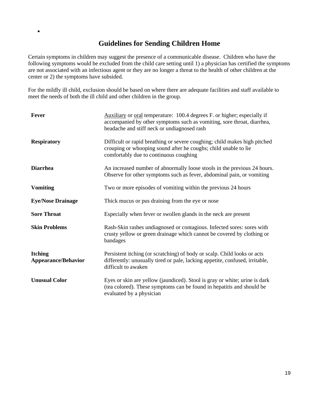### **Guidelines for Sending Children Home**

•

Certain symptoms in children may suggest the presence of a communicable disease. Children who have the following symptoms would be excluded from the child care setting until 1) a physician has certified the symptoms are not associated with an infectious agent or they are no longer a threat to the health of other children at the center or 2) the symptoms have subsided.

For the mildly ill child, exclusion should be based on where there are adequate facilities and staff available to meet the needs of both the ill child and other children in the group.

| Fever                                        | Auxiliary or oral temperature: 100.4 degrees F. or higher; especially if<br>accompanied by other symptoms such as vomiting, sore throat, diarrhea,<br>headache and stiff neck or undiagnosed rash |
|----------------------------------------------|---------------------------------------------------------------------------------------------------------------------------------------------------------------------------------------------------|
| <b>Respiratory</b>                           | Difficult or rapid breathing or severe coughing; child makes high pitched<br>crouping or whooping sound after he coughs; child unable to lie<br>comfortably due to continuous coughing            |
| <b>Diarrhea</b>                              | An increased number of abnormally loose stools in the previous 24 hours.<br>Observe for other symptoms such as fever, abdominal pain, or vomiting                                                 |
| <b>Vomiting</b>                              | Two or more episodes of vomiting within the previous 24 hours                                                                                                                                     |
| <b>Eye/Nose Drainage</b>                     | Thick mucus or pus draining from the eye or nose                                                                                                                                                  |
| <b>Sore Throat</b>                           | Especially when fever or swollen glands in the neck are present                                                                                                                                   |
| <b>Skin Problems</b>                         | Rash-Skin rashes undiagnosed or contagious. Infected sores: sores with<br>crusty yellow or green drainage which cannot be covered by clothing or<br>bandages                                      |
| <b>Itching</b><br><b>Appearance/Behavior</b> | Persistent itching (or scratching) of body or scalp. Child looks or acts<br>differently: unusually tired or pale, lacking appetite, confused, irritable,<br>difficult to awaken                   |
| <b>Unusual Color</b>                         | Eyes or skin are yellow (jaundiced). Stool is gray or white; urine is dark<br>(tea colored). These symptoms can be found in hepatitis and should be<br>evaluated by a physician                   |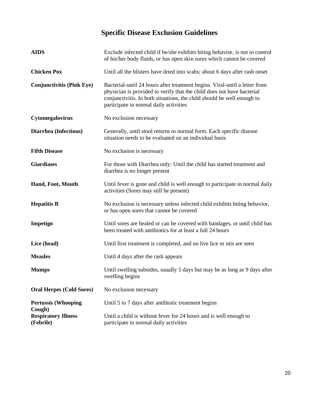# **Specific Disease Exclusion Guidelines**

| <b>AIDS</b>                             | Exclude infected child if he/she exhibits biting behavior, is not in control<br>of his/her body fluids, or has open skin sores which cannot be covered                                                                                                                   |
|-----------------------------------------|--------------------------------------------------------------------------------------------------------------------------------------------------------------------------------------------------------------------------------------------------------------------------|
| <b>Chicken Pox</b>                      | Until all the blisters have dried into scabs; about 6 days after rash onset                                                                                                                                                                                              |
| <b>Conjunctivitis (Pink Eye)</b>        | Bacterial-until 24 hours after treatment begins. Viral-until a letter from<br>physician is provided to verify that the child does not have bacterial<br>conjunctivitis. In both situations, the child should be well enough to<br>participate in normal daily activities |
| Cytomegalovirus                         | No exclusion necessary                                                                                                                                                                                                                                                   |
| Diarrhea (Infectious)                   | Generally, until stool returns to normal form. Each specific disease<br>situation needs to be evaluated on an individual basis                                                                                                                                           |
| <b>Fifth Disease</b>                    | No exclusion is necessary                                                                                                                                                                                                                                                |
| <b>Giardiases</b>                       | For those with Diarrhea only: Until the child has started treatment and<br>diarrhea is no longer present                                                                                                                                                                 |
| Hand, Foot, Mouth                       | Until fever is gone and child is well enough to participate in normal daily<br>activities (Sores may still be present)                                                                                                                                                   |
| <b>Hepatitis B</b>                      | No exclusion is necessary unless infected child exhibits biting behavior,<br>or has open sores that cannot be covered                                                                                                                                                    |
| Impetigo                                | Until sores are healed or can be covered with bandages, or until child has<br>been treated with antibiotics for at least a full 24 hours                                                                                                                                 |
| Lice (head)                             | Until first treatment is completed, and no live lice or nits are seen                                                                                                                                                                                                    |
| <b>Measles</b>                          | Until 4 days after the rash appears                                                                                                                                                                                                                                      |
| <b>Mumps</b>                            | Until swelling subsides, usually 5 days but may be as long as 9 days after<br>swelling begins                                                                                                                                                                            |
| <b>Oral Herpes (Cold Sores)</b>         | No exclusion necessary                                                                                                                                                                                                                                                   |
| <b>Pertussis (Whooping</b><br>Cough)    | Until 5 to 7 days after antibiotic treatment begins                                                                                                                                                                                                                      |
| <b>Respiratory Illness</b><br>(Febrile) | Until a child is without fever for 24 hours and is well enough to<br>participate in normal daily activities                                                                                                                                                              |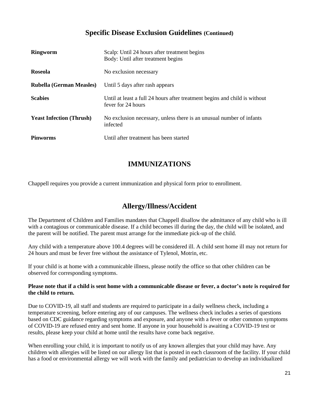### **Specific Disease Exclusion Guidelines (Continued)**

| <b>Ringworm</b>                 | Scalp: Until 24 hours after treatment begins<br>Body: Until after treatment begins               |
|---------------------------------|--------------------------------------------------------------------------------------------------|
| <b>Roseola</b>                  | No exclusion necessary                                                                           |
| Rubella (German Measles)        | Until 5 days after rash appears                                                                  |
| <b>Scabies</b>                  | Until at least a full 24 hours after treatment begins and child is without<br>fever for 24 hours |
| <b>Yeast Infection (Thrush)</b> | No exclusion necessary, unless there is an unusual number of infants<br>infected                 |
| <b>Pinworms</b>                 | Until after treatment has been started                                                           |

# **IMMUNIZATIONS**

Chappell requires you provide a current immunization and physical form prior to enrollment.

### **Allergy/Illness/Accident**

The Department of Children and Families mandates that Chappell disallow the admittance of any child who is ill with a contagious or communicable disease. If a child becomes ill during the day, the child will be isolated, and the parent will be notified. The parent must arrange for the immediate pick-up of the child.

Any child with a temperature above 100.4 degrees will be considered ill. A child sent home ill may not return for 24 hours and must be fever free without the assistance of Tylenol, Motrin, etc.

If your child is at home with a communicable illness, please notify the office so that other children can be observed for corresponding symptoms.

#### **Please note that if a child is sent home with a communicable disease or fever, a doctor's note is required for the child to return.**

Due to COVID-19, all staff and students are required to participate in a daily wellness check, including a temperature screening, before entering any of our campuses. The wellness check includes a series of questions based on CDC guidance regarding symptoms and exposure, and anyone with a fever or other common symptoms of COVID-19 are refused entry and sent home. If anyone in your household is awaiting a COVID-19 test or results, please keep your child at home until the results have come back negative.

When enrolling your child, it is important to notify us of any known allergies that your child may have. Any children with allergies will be listed on our allergy list that is posted in each classroom of the facility. If your child has a food or environmental allergy we will work with the family and pediatrician to develop an individualized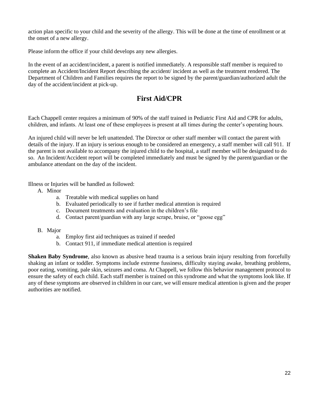action plan specific to your child and the severity of the allergy. This will be done at the time of enrollment or at the onset of a new allergy.

Please inform the office if your child develops any new allergies.

In the event of an accident/incident, a parent is notified immediately. A responsible staff member is required to complete an Accident/Incident Report describing the accident/ incident as well as the treatment rendered. The Department of Children and Families requires the report to be signed by the parent/guardian/authorized adult the day of the accident/incident at pick-up.

## **First Aid/CPR**

Each Chappell center requires a minimum of 90% of the staff trained in Pediatric First Aid and CPR for adults, children, and infants. At least one of these employees is present at all times during the center's operating hours.

An injured child will never be left unattended. The Director or other staff member will contact the parent with details of the injury. If an injury is serious enough to be considered an emergency, a staff member will call 911. If the parent is not available to accompany the injured child to the hospital, a staff member will be designated to do so. An Incident/Accident report will be completed immediately and must be signed by the parent/guardian or the ambulance attendant on the day of the incident.

Illness or Injuries will be handled as followed:

- A. Minor
	- a. Treatable with medical supplies on hand
	- b. Evaluated periodically to see if further medical attention is required
	- c. Document treatments and evaluation in the children's file
	- d. Contact parent/guardian with any large scrape, bruise, or "goose egg"
- B. Major
	- a. Employ first aid techniques as trained if needed
	- b. Contact 911, if immediate medical attention is required

**Shaken Baby Syndrome**, also known as abusive head trauma is a serious brain injury resulting from forcefully shaking an infant or toddler. Symptoms include extreme fussiness, difficulty staying awake, breathing problems, poor eating, vomiting, pale skin, seizures and coma. At Chappell, we follow this behavior management protocol to ensure the safety of each child. Each staff member is trained on this syndrome and what the symptoms look like. If any of these symptoms are observed in children in our care, we will ensure medical attention is given and the proper authorities are notified.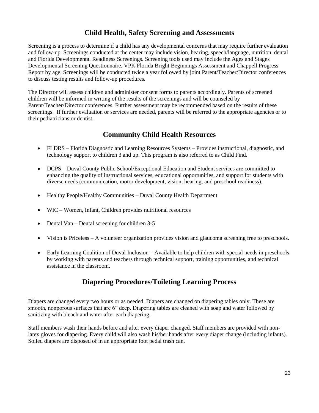# **Child Health, Safety Screening and Assessments**

Screening is a process to determine if a child has any developmental concerns that may require further evaluation and follow-up. Screenings conducted at the center may include vision, hearing, speech/language, nutrition, dental and Florida Developmental Readiness Screenings. Screening tools used may include the Ages and Stages Developmental Screening Questionnaire, VPK Florida Bright Beginnings Assessment and Chappell Progress Report by age. Screenings will be conducted twice a year followed by joint Parent/Teacher/Director conferences to discuss testing results and follow-up procedures.

The Director will assess children and administer consent forms to parents accordingly. Parents of screened children will be informed in writing of the results of the screenings and will be counseled by Parent/Teacher/Director conferences. Further assessment may be recommended based on the results of these screenings. If further evaluation or services are needed, parents will be referred to the appropriate agencies or to their pediatricians or dentist.

# **Community Child Health Resources**

- FLDRS Florida Diagnostic and Learning Resources Systems Provides instructional, diagnostic, and technology support to children 3 and up. This program is also referred to as Child Find.
- DCPS Duval County Public School/Exceptional Education and Student services are committed to enhancing the quality of instructional services, educational opportunities, and support for students with diverse needs (communication, motor development, vision, hearing, and preschool readiness).
- Healthy People/Healthy Communities Duval County Health Department
- WIC Women, Infant, Children provides nutritional resources
- Dental Van Dental screening for children 3-5
- Vision is Priceless A volunteer organization provides vision and glaucoma screening free to preschools.
- Early Learning Coalition of Duval Inclusion Available to help children with special needs in preschools by working with parents and teachers through technical support, training opportunities, and technical assistance in the classroom.

# **Diapering Procedures/Toileting Learning Process**

Diapers are changed every two hours or as needed. Diapers are changed on diapering tables only. These are smooth, nonporous surfaces that are 6" deep. Diapering tables are cleaned with soap and water followed by sanitizing with bleach and water after each diapering.

Staff members wash their hands before and after every diaper changed. Staff members are provided with nonlatex gloves for diapering. Every child will also wash his/her hands after every diaper change (including infants). Soiled diapers are disposed of in an appropriate foot pedal trash can.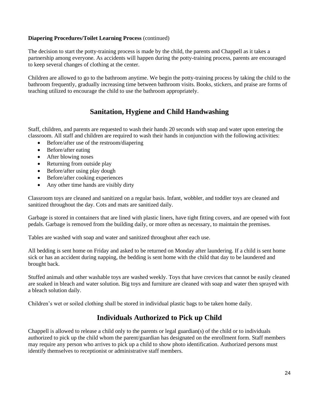#### **Diapering Procedures/Toilet Learning Process** (continued)

The decision to start the potty-training process is made by the child, the parents and Chappell as it takes a partnership among everyone. As accidents will happen during the potty-training process, parents are encouraged to keep several changes of clothing at the center.

Children are allowed to go to the bathroom anytime. We begin the potty-training process by taking the child to the bathroom frequently, gradually increasing time between bathroom visits. Books, stickers, and praise are forms of teaching utilized to encourage the child to use the bathroom appropriately.

# **Sanitation, Hygiene and Child Handwashing**

Staff, children, and parents are requested to wash their hands 20 seconds with soap and water upon entering the classroom. All staff and children are required to wash their hands in conjunction with the following activities:

- Before/after use of the restroom/diapering
- Before/after eating
- After blowing noses
- Returning from outside play
- Before/after using play dough
- Before/after cooking experiences
- Any other time hands are visibly dirty

Classroom toys are cleaned and sanitized on a regular basis. Infant, wobbler, and toddler toys are cleaned and sanitized throughout the day. Cots and mats are sanitized daily.

Garbage is stored in containers that are lined with plastic liners, have tight fitting covers, and are opened with foot pedals. Garbage is removed from the building daily, or more often as necessary, to maintain the premises.

Tables are washed with soap and water and sanitized throughout after each use.

All bedding is sent home on Friday and asked to be returned on Monday after laundering. If a child is sent home sick or has an accident during napping, the bedding is sent home with the child that day to be laundered and brought back.

Stuffed animals and other washable toys are washed weekly. Toys that have crevices that cannot be easily cleaned are soaked in bleach and water solution. Big toys and furniture are cleaned with soap and water then sprayed with a bleach solution daily.

Children's wet or soiled clothing shall be stored in individual plastic bags to be taken home daily.

### **Individuals Authorized to Pick up Child**

Chappell is allowed to release a child only to the parents or legal guardian(s) of the child or to individuals authorized to pick up the child whom the parent/guardian has designated on the enrollment form. Staff members may require any person who arrives to pick up a child to show photo identification. Authorized persons must identify themselves to receptionist or administrative staff members.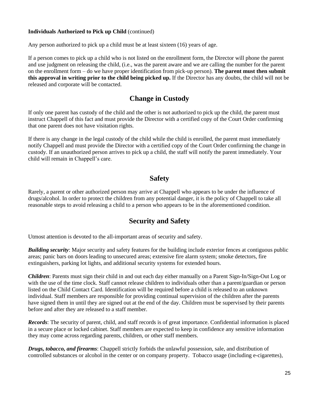#### **Individuals Authorized to Pick up Child** (continued)

Any person authorized to pick up a child must be at least sixteen (16) years of age.

If a person comes to pick up a child who is not listed on the enrollment form, the Director will phone the parent and use judgment on releasing the child, (i.e., was the parent aware and we are calling the number for the parent on the enrollment form – do we have proper identification from pick-up person). **The parent must then submit this approval in writing prior to the child being picked up.** If the Director has any doubts, the child will not be released and corporate will be contacted.

### **Change in Custody**

If only one parent has custody of the child and the other is not authorized to pick up the child, the parent must instruct Chappell of this fact and must provide the Director with a certified copy of the Court Order confirming that one parent does not have visitation rights.

If there is any change in the legal custody of the child while the child is enrolled, the parent must immediately notify Chappell and must provide the Director with a certified copy of the Court Order confirming the change in custody. If an unauthorized person arrives to pick up a child, the staff will notify the parent immediately. Your child will remain in Chappell's care.

#### **Safety**

Rarely, a parent or other authorized person may arrive at Chappell who appears to be under the influence of drugs/alcohol. In order to protect the children from any potential danger, it is the policy of Chappell to take all reasonable steps to avoid releasing a child to a person who appears to be in the aforementioned condition.

### **Security and Safety**

Utmost attention is devoted to the all-important areas of security and safety.

*Building security*: Major security and safety features for the building include exterior fences at contiguous public areas; panic bars on doors leading to unsecured areas; extensive fire alarm system; smoke detectors, fire extinguishers, parking lot lights, and additional security systems for extended hours.

*Children*: Parents must sign their child in and out each day either manually on a Parent Sign-In/Sign-Out Log or with the use of the time clock. Staff cannot release children to individuals other than a parent/guardian or person listed on the Child Contact Card. Identification will be required before a child is released to an unknown individual. Staff members are responsible for providing continual supervision of the children after the parents have signed them in until they are signed out at the end of the day. Children must be supervised by their parents before and after they are released to a staff member.

*Records*: The security of parent, child, and staff records is of great importance. Confidential information is placed in a secure place or locked cabinet. Staff members are expected to keep in confidence any sensitive information they may come across regarding parents, children, or other staff members.

*Drugs, tobacco, and firearms*: Chappell strictly forbids the unlawful possession, sale, and distribution of controlled substances or alcohol in the center or on company property. Tobacco usage (including e-cigarettes),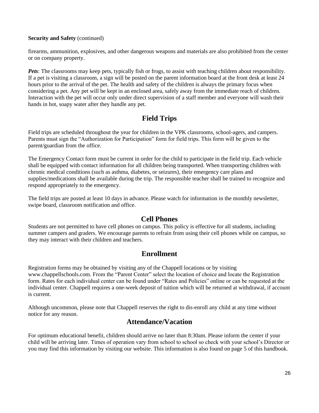#### **Security and Safety** (continued)

firearms, ammunition, explosives, and other dangerous weapons and materials are also prohibited from the center or on company property.

*Pets*: The classrooms may keep pets, typically fish or frogs, to assist with teaching children about responsibility. If a pet is visiting a classroom, a sign will be posted on the parent information board at the front desk at least 24 hours prior to the arrival of the pet. The health and safety of the children is always the primary focus when considering a pet. Any pet will be kept in an enclosed area, safely away from the immediate reach of children. Interaction with the pet will occur only under direct supervision of a staff member and everyone will wash their hands in hot, soapy water after they handle any pet.

### **Field Trips**

Field trips are scheduled throughout the year for children in the VPK classrooms, school-agers, and campers. Parents must sign the "Authorization for Participation" form for field trips. This form will be given to the parent/guardian from the office.

The Emergency Contact form must be current in order for the child to participate in the field trip. Each vehicle shall be equipped with contact information for all children being transported. When transporting children with chronic medical conditions (such as asthma, diabetes, or seizures), their emergency care plans and supplies/medications shall be available during the trip. The responsible teacher shall be trained to recognize and respond appropriately to the emergency.

The field trips are posted at least 10 days in advance. Please watch for information in the monthly newsletter, swipe board, classroom notification and office.

#### **Cell Phones**

Students are not permitted to have cell phones on campus. This policy is effective for all students, including summer campers and graders. We encourage parents to refrain from using their cell phones while on campus, so they may interact with their children and teachers.

#### **Enrollment**

Registration forms may be obtained by visiting any of the Chappell locations or by visiting www.chappellschools.com. From the "Parent Center" select the location of choice and locate the Registration form. Rates for each individual center can be found under "Rates and Policies" online or can be requested at the individual center. Chappell requires a one-week deposit of tuition which will be returned at withdrawal, if account is current.

Although uncommon, please note that Chappell reserves the right to dis-enroll any child at any time without notice for any reason.

### **Attendance/Vacation**

For optimum educational benefit, children should arrive no later than 8:30am. Please inform the center if your child will be arriving later. Times of operation vary from school to school so check with your school's Director or you may find this information by visiting our website. This information is also found on page 5 of this handbook.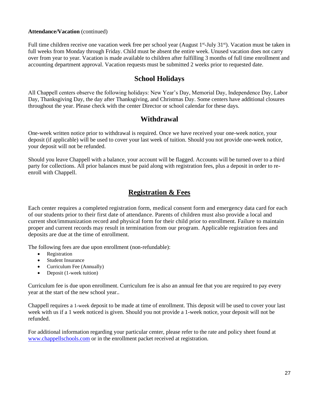#### **Attendance/Vacation** (continued)

Full time children receive one vacation week free per school year (August 1<sup>st</sup>-July 31<sup>st</sup>). Vacation must be taken in full weeks from Monday through Friday. Child must be absent the entire week. Unused vacation does not carry over from year to year. Vacation is made available to children after fulfilling 3 months of full time enrollment and accounting department approval. Vacation requests must be submitted 2 weeks prior to requested date.

### **School Holidays**

All Chappell centers observe the following holidays: New Year's Day, Memorial Day, Independence Day, Labor Day, Thanksgiving Day, the day after Thanksgiving, and Christmas Day. Some centers have additional closures throughout the year. Please check with the center Director or school calendar for these days.

#### **Withdrawal**

One-week written notice prior to withdrawal is required. Once we have received your one-week notice, your deposit (if applicable) will be used to cover your last week of tuition. Should you not provide one-week notice, your deposit will not be refunded.

Should you leave Chappell with a balance, your account will be flagged. Accounts will be turned over to a third party for collections. All prior balances must be paid along with registration fees, plus a deposit in order to reenroll with Chappell.

### **Registration & Fees**

Each center requires a completed registration form, medical consent form and emergency data card for each of our students prior to their first date of attendance. Parents of children must also provide a local and current shot/immunization record and physical form for their child prior to enrollment. Failure to maintain proper and current records may result in termination from our program. Applicable registration fees and deposits are due at the time of enrollment.

The following fees are due upon enrollment (non-refundable):

- Registration
- Student Insurance
- Curriculum Fee (Annually)
- Deposit (1-week tuition)

Curriculum fee is due upon enrollment. Curriculum fee is also an annual fee that you are required to pay every year at the start of the new school year..

Chappell requires a 1-week deposit to be made at time of enrollment. This deposit will be used to cover your last week with us if a 1 week noticed is given. Should you not provide a 1-week notice, your deposit will not be refunded.

For additional information regarding your particular center, please refer to the rate and policy sheet found at [www.chappellschools.com](http://www.chappellschools.com/) or in the enrollment packet received at registration.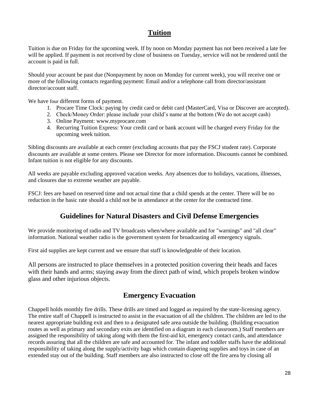## **Tuition**

Tuition is due on Friday for the upcoming week. If by noon on Monday payment has not been received a late fee will be applied. If payment is not received by close of business on Tuesday, service will not be rendered until the account is paid in full.

Should your account be past due (Nonpayment by noon on Monday for current week), you will receive one or more of the following contacts regarding payment: Email and/or a telephone call from director/assistant director/account staff.

We have four different forms of payment.

- 1. Procare Time Clock: paying by credit card or debit card (MasterCard, Visa or Discover are accepted).
- 2. Check/Money Order: please include your child's name at the bottom (We do not accept cash)
- 3. Online Payment: www.myprocare.com
- 4. Recurring Tuition Express: Your credit card or bank account will be charged every Friday for the upcoming week tuition.

Sibling discounts are available at each center (excluding accounts that pay the FSCJ student rate). Corporate discounts are available at some centers. Please see Director for more information. Discounts cannot be combined. Infant tuition is not eligible for any discounts.

All weeks are payable excluding approved vacation weeks. Any absences due to holidays, vacations, illnesses, and closures due to extreme weather are payable.

FSCJ: fees are based on reserved time and not actual time that a child spends at the center. There will be no reduction in the basic rate should a child not be in attendance at the center for the contracted time.

### **Guidelines for Natural Disasters and Civil Defense Emergencies**

We provide monitoring of radio and TV broadcasts when/where available and for "warnings" and "all clear" information. National weather radio is the government system for broadcasting all emergency signals.

First aid supplies are kept current and we ensure that staff is knowledgeable of their location.

All persons are instructed to place themselves in a protected position covering their heads and faces with their hands and arms; staying away from the direct path of wind, which propels broken window glass and other injurious objects.

#### **Emergency Evacuation**

Chappell holds monthly fire drills. These drills are timed and logged as required by the state-licensing agency. The entire staff of Chappell is instructed to assist in the evacuation of all the children. The children are led to the nearest appropriate building exit and then to a designated safe area outside the building. (Building evacuation routes as well as primary and secondary exits are identified on a diagram in each classroom.) Staff members are assigned the responsibility of taking along with them the first-aid kit, emergency contact cards, and attendance records assuring that all the children are safe and accounted for. The infant and toddler staffs have the additional responsibility of taking along the supply/activity bags which contain diapering supplies and toys in case of an extended stay out of the building. Staff members are also instructed to close off the fire area by closing all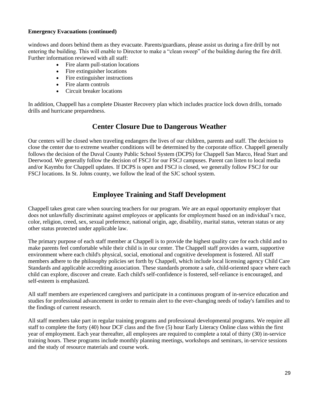#### **Emergency Evacuations (continued)**

windows and doors behind them as they evacuate. Parents/guardians, please assist us during a fire drill by not entering the building. This will enable to Director to make a "clean sweep" of the building during the fire drill. Further information reviewed with all staff:

- Fire alarm pull-station locations
- Fire extinguisher locations
- Fire extinguisher instructions
- Fire alarm controls
- Circuit breaker locations

In addition, Chappell has a complete Disaster Recovery plan which includes practice lock down drills, tornado drills and hurricane preparedness.

#### **Center Closure Due to Dangerous Weather**

Our centers will be closed when traveling endangers the lives of our children, parents and staff. The decision to close the center due to extreme weather conditions will be determined by the corporate office. Chappell generally follows the decision of the Duval County Public School System (DCPS) for Chappell San Marco, Head Start and Deerwood. We generally follow the decision of FSCJ for our FSCJ campuses. Parent can listen to local media and/or Kaymbu for Chappell updates. If DCPS is open and FSCJ is closed, we generally follow FSCJ for our FSCJ locations. In St. Johns county, we follow the lead of the SJC school system.

### **Employee Training and Staff Development**

Chappell takes great care when sourcing teachers for our program. We are an equal opportunity employer that does not unlawfully discriminate against employees or applicants for employment based on an individual's race, color, religion, creed, sex, sexual preference, national origin, age, disability, marital status, veteran status or any other status protected under applicable law.

The primary purpose of each staff member at Chappell is to provide the highest quality care for each child and to make parents feel comfortable while their child is in our center. The Chappell staff provides a warm, supportive environment where each child's physical, social, emotional and cognitive development is fostered. All staff members adhere to the philosophy policies set forth by Chappell, which include local licensing agency Child Care Standards and applicable accrediting association. These standards promote a safe, child-oriented space where each child can explore, discover and create. Each child's self-confidence is fostered, self-reliance is encouraged, and self-esteem is emphasized.

All staff members are experienced caregivers and participate in a continuous program of in-service education and studies for professional advancement in order to remain alert to the ever-changing needs of today's families and to the findings of current research.

All staff members take part in regular training programs and professional developmental programs. We require all staff to complete the forty (40) hour DCF class and the five (5) hour Early Literacy Online class within the first year of employment. Each year thereafter, all employees are required to complete a total of thirty (30) in-service training hours. These programs include monthly planning meetings, workshops and seminars, in-service sessions and the study of resource materials and course work.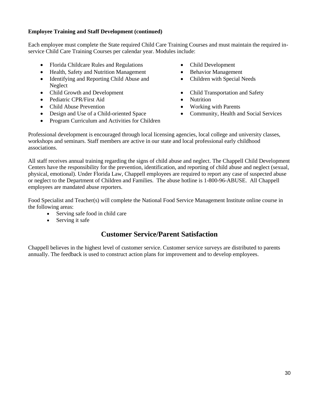#### **Employee Training and Staff Development (continued)**

Each employee must complete the State required Child Care Training Courses and must maintain the required inservice Child Care Training Courses per calendar year. Modules include:

- Florida Childcare Rules and Regulations Child Development
- Health, Safety and Nutrition Management Behavior Management
- Identifying and Reporting Child Abuse and Neglect
- Child Growth and Development Child Transportation and Safety
- Pediatric CPR/First Aid Nutrition
- Child Abuse Prevention Norking with Parents
- Design and Use of a Child-oriented Space Community, Health and Social Services
- Program Curriculum and Activities for Children
- 
- 
- Children with Special Needs
- 
- 
- 
- 

Professional development is encouraged through local licensing agencies, local college and university classes, workshops and seminars. Staff members are active in our state and local professional early childhood associations.

All staff receives annual training regarding the signs of child abuse and neglect. The Chappell Child Development Centers have the responsibility for the prevention, identification, and reporting of child abuse and neglect (sexual, physical, emotional). Under Florida Law, Chappell employees are required to report any case of suspected abuse or neglect to the Department of Children and Families. The abuse hotline is 1-800-96-ABUSE. All Chappell employees are mandated abuse reporters.

Food Specialist and Teacher(s) will complete the National Food Service Management Institute online course in the following areas:

- Serving safe food in child care
- Serving it safe

### **Customer Service/Parent Satisfaction**

Chappell believes in the highest level of customer service. Customer service surveys are distributed to parents annually. The feedback is used to construct action plans for improvement and to develop employees.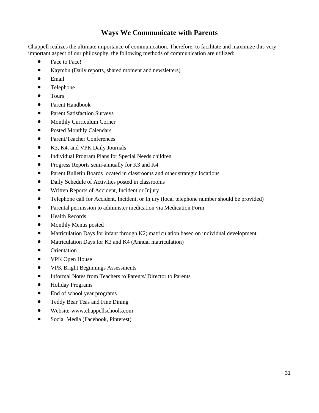# **Ways We Communicate with Parents**

Chappell realizes the ultimate importance of communication. Therefore, to facilitate and maximize this very important aspect of our philosophy, the following methods of communication are utilized:

- Face to Face!
- Kaymbu (Daily reports, shared moment and newsletters)
- Email
- Telephone
- Tours
- Parent Handbook
- Parent Satisfaction Surveys
- Monthly Curriculum Corner
- Posted Monthly Calendars
- Parent/Teacher Conferences
- K3, K4, and VPK Daily Journals
- Individual Program Plans for Special Needs children
- Progress Reports semi-annually for K3 and K4
- Parent Bulletin Boards located in classrooms and other strategic locations
- Daily Schedule of Activities posted in classrooms
- Written Reports of Accident, Incident or Injury
- Telephone call for Accident, Incident, or Injury (local telephone number should be provided)
- Parental permission to administer medication via Medication Form
- Health Records
- Monthly Menus posted
- Matriculation Days for infant through K2; matriculation based on individual development
- Matriculation Days for K3 and K4 (Annual matriculation)
- Orientation
- VPK Open House
- VPK Bright Beginnings Assessments
- Informal Notes from Teachers to Parents/ Director to Parents
- Holiday Programs
- End of school year programs
- Teddy Bear Teas and Fine Dining
- Website-www.chappellschools.com
- Social Media (Facebook, Pinterest)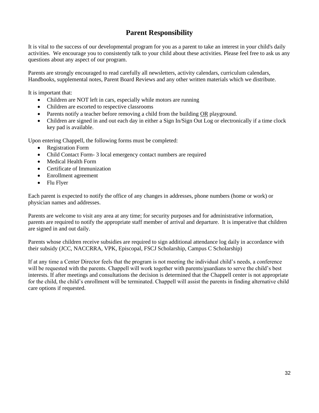# **Parent Responsibility**

It is vital to the success of our developmental program for you as a parent to take an interest in your child's daily activities. We encourage you to consistently talk to your child about these activities. Please feel free to ask us any questions about any aspect of our program.

Parents are strongly encouraged to read carefully all newsletters, activity calendars, curriculum calendars, Handbooks, supplemental notes, Parent Board Reviews and any other written materials which we distribute.

It is important that:

- Children are NOT left in cars, especially while motors are running
- Children are escorted to respective classrooms
- Parents notify a teacher before removing a child from the building OR playground.
- Children are signed in and out each day in either a Sign In/Sign Out Log or electronically if a time clock key pad is available.

Upon entering Chappell, the following forms must be completed:

- Registration Form
- Child Contact Form- 3 local emergency contact numbers are required
- Medical Health Form
- Certificate of Immunization
- Enrollment agreement
- Flu Flyer

Each parent is expected to notify the office of any changes in addresses, phone numbers (home or work) or physician names and addresses.

Parents are welcome to visit any area at any time; for security purposes and for administrative information, parents are required to notify the appropriate staff member of arrival and departure. It is imperative that children are signed in and out daily.

Parents whose children receive subsidies are required to sign additional attendance log daily in accordance with their subsidy (JCC, NACCRRA, VPK, Episcopal, FSCJ Scholarship, Campus C Scholarship)

If at any time a Center Director feels that the program is not meeting the individual child's needs, a conference will be requested with the parents. Chappell will work together with parents/guardians to serve the child's best interests. If after meetings and consultations the decision is determined that the Chappell center is not appropriate for the child, the child's enrollment will be terminated. Chappell will assist the parents in finding alternative child care options if requested.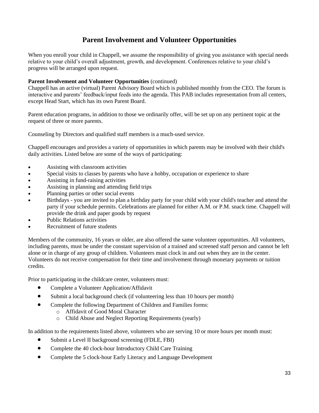# **Parent Involvement and Volunteer Opportunities**

When you enroll your child in Chappell, we assume the responsibility of giving you assistance with special needs relative to your child's overall adjustment, growth, and development. Conferences relative to your child's progress will be arranged upon request.

#### **Parent Involvement and Volunteer Opportunities** (continued)

Chappell has an active (virtual) Parent Advisory Board which is published monthly from the CEO. The forum is interactive and parents' feedback/input feeds into the agenda. This PAB includes representation from all centers, except Head Start, which has its own Parent Board.

Parent education programs, in addition to those we ordinarily offer, will be set up on any pertinent topic at the request of three or more parents.

Counseling by Directors and qualified staff members is a much-used service.

Chappell encourages and provides a variety of opportunities in which parents may be involved with their child's daily activities. Listed below are some of the ways of participating:

- Assisting with classroom activities
- Special visits to classes by parents who have a hobby, occupation or experience to share
- Assisting in fund-raising activities
- Assisting in planning and attending field trips
- Planning parties or other social events
- Birthdays you are invited to plan a birthday party for your child with your child's teacher and attend the party if your schedule permits. Celebrations are planned for either A.M. or P.M. snack time. Chappell will provide the drink and paper goods by request
- Public Relations activities
- Recruitment of future students

Members of the community, 16 years or older, are also offered the same volunteer opportunities. All volunteers, including parents, must be under the constant supervision of a trained and screened staff person and cannot be left alone or in charge of any group of children. Volunteers must clock in and out when they are in the center. Volunteers do not receive compensation for their time and involvement through monetary payments or tuition credits.

Prior to participating in the childcare center, volunteers must:

- Complete a Volunteer Application/Affidavit
- Submit a local background check (if volunteering less than 10 hours per month)
- Complete the following Department of Children and Families forms:
	- o Affidavit of Good Moral Character
	- o Child Abuse and Neglect Reporting Requirements (yearly)

In addition to the requirements listed above, volunteers who are serving 10 or more hours per month must:

- Submit a Level II background screening (FDLE, FBI)
- Complete the 40 clock-hour Introductory Child Care Training
- Complete the 5 clock-hour Early Literacy and Language Development